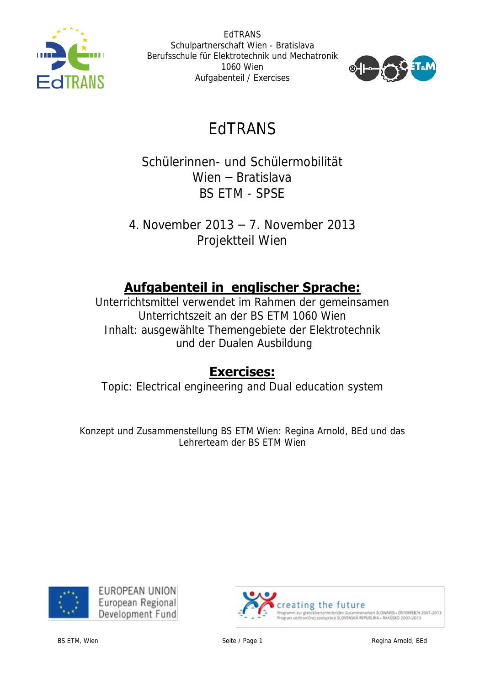



# EdTRANS

Schülerinnen- und Schülermobilität Wien – Bratislava BS ETM - SPSE

4. November 2013 – 7. November 2013 Projektteil Wien

# **Aufgabenteil in englischer Sprache:**

Unterrichtsmittel verwendet im Rahmen der gemeinsamen Unterrichtszeit an der BS ETM 1060 Wien Inhalt: ausgewählte Themengebiete der Elektrotechnik und der Dualen Ausbildung

## **Exercises:**

Topic: Electrical engineering and Dual education system

Konzept und Zusammenstellung BS ETM Wien: Regina Arnold, BEd und das Lehrerteam der BS ETM Wien



EUROPEAN UNION European Regional Development Fund

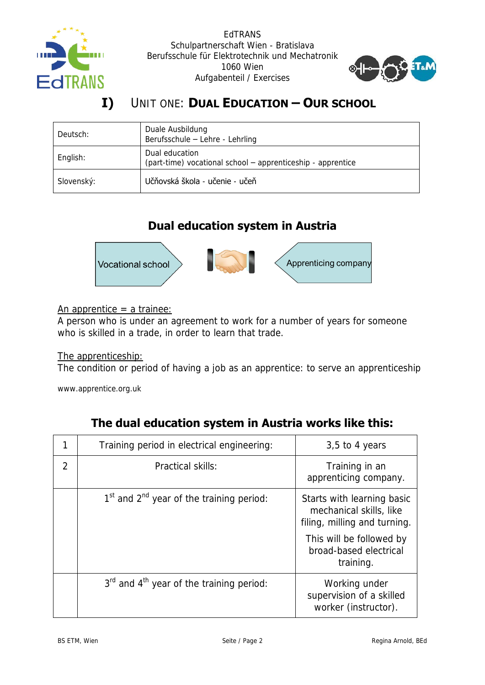



## **I)** UNIT ONE: **DUAL EDUCATION – OUR SCHOOL**

| Deutsch:   | Duale Ausbildung<br>Berufsschule - Lehre - Lehrling                           |
|------------|-------------------------------------------------------------------------------|
| English:   | Dual education<br>(part-time) vocational school - apprenticeship - apprentice |
| Slovenský: | Učňovská škola - učenie - učeň                                                |

### **Dual education system in Austria**



An apprentice  $=$  a trainee:

A person who is under an agreement to work for a number of years for someone who is skilled in a trade, in order to learn that trade.

#### The apprenticeship:

The condition or period of having a job as an apprentice: to serve an apprenticeship

www.apprentice.org.uk

|                | Training period in electrical engineering:                       | $3,5$ to 4 years                                                                      |
|----------------|------------------------------------------------------------------|---------------------------------------------------------------------------------------|
| $\overline{2}$ | Practical skills:                                                | Training in an<br>apprenticing company.                                               |
|                | 1 <sup>st</sup> and 2 <sup>nd</sup> year of the training period: | Starts with learning basic<br>mechanical skills, like<br>filing, milling and turning. |
|                |                                                                  | This will be followed by<br>broad-based electrical<br>training.                       |
|                | $3rd$ and $4th$ year of the training period:                     | Working under<br>supervision of a skilled<br>worker (instructor).                     |

## **The dual education system in Austria works like this:**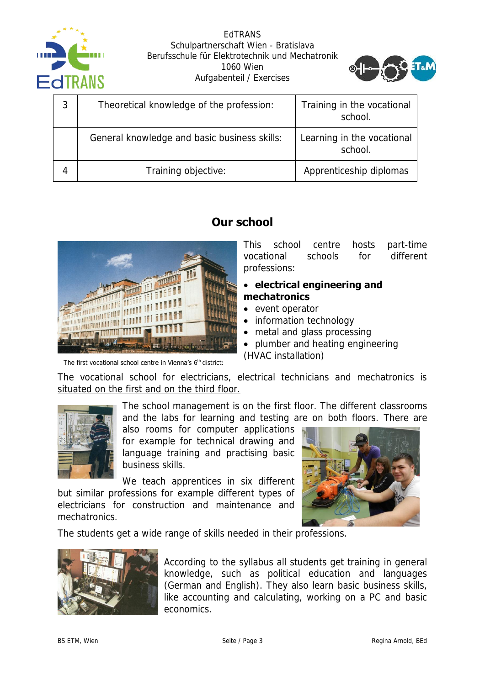



| 3 | Theoretical knowledge of the profession:     | Training in the vocational<br>school. |
|---|----------------------------------------------|---------------------------------------|
|   | General knowledge and basic business skills: | Learning in the vocational<br>school. |
|   | Training objective:                          | Apprenticeship diplomas               |

### **Our school**



The first vocational school centre in Vienna's 6<sup>th</sup> district:

This school centre hosts part-time vocational schools for different professions:

#### **electrical engineering and mechatronics**

- event operator
- information technology
- metal and glass processing
- plumber and heating engineering (HVAC installation)

The vocational school for electricians, electrical technicians and mechatronics is situated on the first and on the third floor.



The school management is on the first floor. The different classrooms and the labs for learning and testing are on both floors. There are

also rooms for computer applications for example for technical drawing and language training and practising basic business skills.

We teach apprentices in six different but similar professions for example different types of electricians for construction and maintenance and mechatronics.



The students get a wide range of skills needed in their professions.



According to the syllabus all students get training in general knowledge, such as political education and languages (German and English). They also learn basic business skills, like accounting and calculating, working on a PC and basic economics.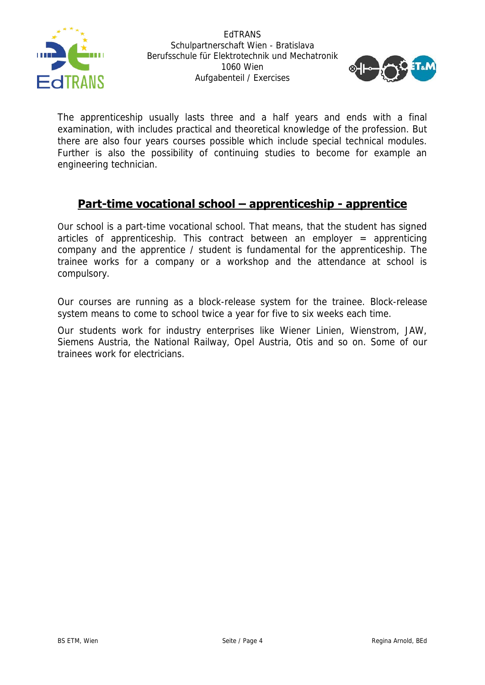



The apprenticeship usually lasts three and a half years and ends with a final examination, with includes practical and theoretical knowledge of the profession. But there are also four years courses possible which include special technical modules. Further is also the possibility of continuing studies to become for example an engineering technician.

#### **Part-time vocational school – apprenticeship - apprentice**

Our school is a part-time vocational school. That means, that the student has signed articles of apprenticeship. This contract between an employer  $=$  apprenticing company and the apprentice / student is fundamental for the apprenticeship. The trainee works for a company or a workshop and the attendance at school is compulsory.

Our courses are running as a block-release system for the trainee. Block-release system means to come to school twice a year for five to six weeks each time.

Our students work for industry enterprises like Wiener Linien, Wienstrom, JAW, Siemens Austria, the National Railway, Opel Austria, Otis and so on. Some of our trainees work for electricians.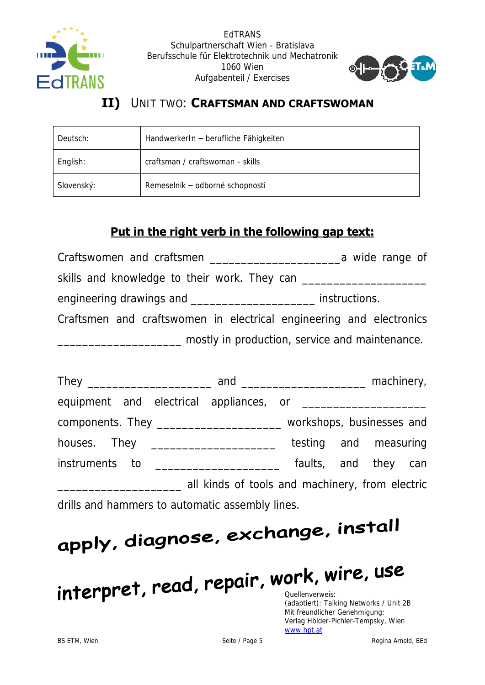



#### $II)$ UNIT TWO: CRAFTSMAN AND CRAFTSWOMAN

| Deutsch:   | HandwerkerIn - berufliche Fähigkeiten |
|------------|---------------------------------------|
| English:   | craftsman / craftswoman - skills      |
| Slovenský: | Remeselník – odborné schopnosti       |

## Put in the right verb in the following gap text:

| Craftswomen and craftsmen                                           | a wide range of                                |
|---------------------------------------------------------------------|------------------------------------------------|
| skills and knowledge to their work. They can                        |                                                |
| engineering drawings and ____                                       | instructions.                                  |
| Craftsmen and craftswomen in electrical engineering and electronics |                                                |
|                                                                     | mostly in production, service and maintenance. |

| components. They ____________________________ workshops, businesses and |                                                 |                       |  |  |
|-------------------------------------------------------------------------|-------------------------------------------------|-----------------------|--|--|
|                                                                         |                                                 | testing and measuring |  |  |
| instruments to ___________________                                      |                                                 | faults, and they can  |  |  |
|                                                                         | all kinds of tools and machinery, from electric |                       |  |  |
| drills and hammers to automatic assembly lines.                         |                                                 |                       |  |  |

# apply, diagnose, exchange, install

# interpret, read, repair, work, wire, use

(adaptiert): Talking Networks / Unit 2B Mit freundlicher Genehmigung: Verlag Hölder-Pichler-Tempsky, Wien www.hpt.at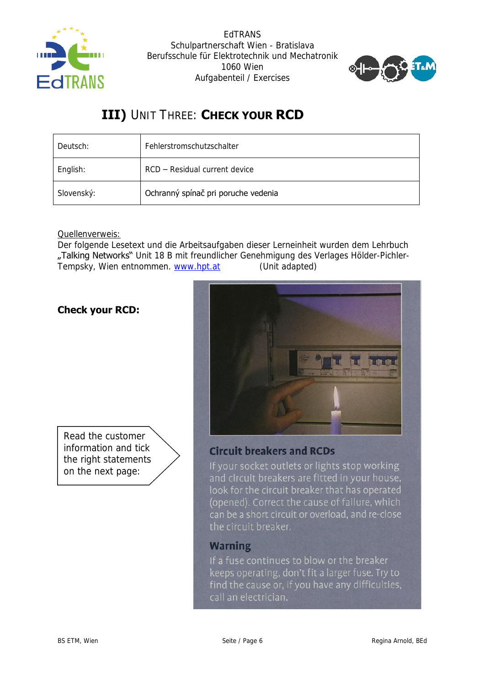



## **III)** UNIT THREE: **CHECK YOUR RCD**

| Deutsch:   | Fehlerstromschutzschalter           |
|------------|-------------------------------------|
| English:   | RCD – Residual current device       |
| Slovenský: | Ochranný spínač pri poruche vedenia |

#### Quellenverweis:

Der folgende Lesetext und die Arbeitsaufgaben dieser Lerneinheit wurden dem Lehrbuch "Talking Networks" Unit 18 B mit freundlicher Genehmigung des Verlages Hölder-Pichler-Tempsky, Wien entnommen. [www.hpt.at](http://www.hpt.at/) (Unit adapted)

#### **Check your RCD:**





#### **Circuit breakers and RCDs**

If your socket outlets or lights stop working and circuit breakers are fitted in your house, look for the circuit breaker that has operated (opened). Correct the cause of failure, which can be a short circuit or overload, and re-close the circuit breaker.

#### **Warning**

If a fuse continues to blow or the breaker keeps operating, don't fit a larger fuse. Try to find the cause or, if you have any difficulties, call an electrician.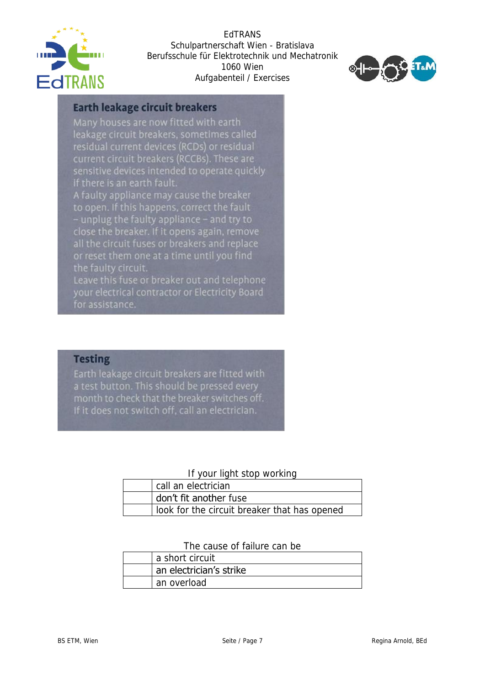



#### **Earth leakage circuit breakers**

Many houses are now fitted with earth leakage circuit breakers, sometimes called residual current devices (RCDs) or residual current circuit breakers (RCCBs). These are sensitive devices intended to operate quickly if there is an earth fault.

A faulty appliance may cause the breaker to open. If this happens, correct the fault - unplug the faulty appliance - and try to close the breaker. If it opens again, remove all the circuit fuses or breakers and replace or reset them one at a time until you find the faulty circuit.

Leave this fuse or breaker out and telephone your electrical contractor or Electricity Board for assistance.

#### **Testing**

Earth leakage circuit breakers are fitted with a test button. This should be pressed every month to check that the breaker switches off. If it does not switch off, call an electrician.

#### If your light stop working

| call an electrician                          |
|----------------------------------------------|
| don't fit another fuse                       |
| look for the circuit breaker that has opened |

#### The cause of failure can be

| a short circuit         |
|-------------------------|
| an electrician's strike |
| an overload             |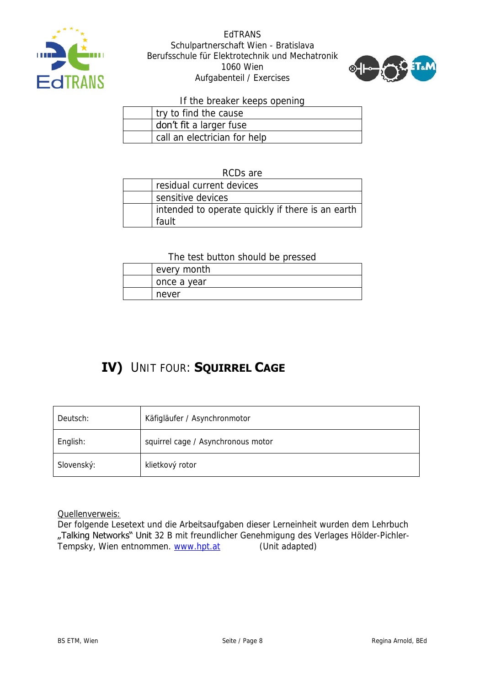



If the breaker keeps opening

| try to find the cause        |
|------------------------------|
| don't fit a larger fuse      |
| call an electrician for help |

RCDs are

| residual current devices                                  |
|-----------------------------------------------------------|
| sensitive devices                                         |
| intended to operate quickly if there is an earth<br>fault |

The test button should be pressed

| every month |
|-------------|
| once a year |
| never       |

## **IV)** UNIT FOUR: **SQUIRREL CAGE**

| Deutsch:   | Käfigläufer / Asynchronmotor       |
|------------|------------------------------------|
| English:   | squirrel cage / Asynchronous motor |
| Slovenský: | klietkový rotor                    |

Quellenverweis:

Der folgende Lesetext und die Arbeitsaufgaben dieser Lerneinheit wurden dem Lehrbuch "Talking Networks" Unit 32 B mit freundlicher Genehmigung des Verlages Hölder-PichlerTempsky, Wien entnommen. [www.hpt.at](http://www.hpt.at/) (Unit adapted)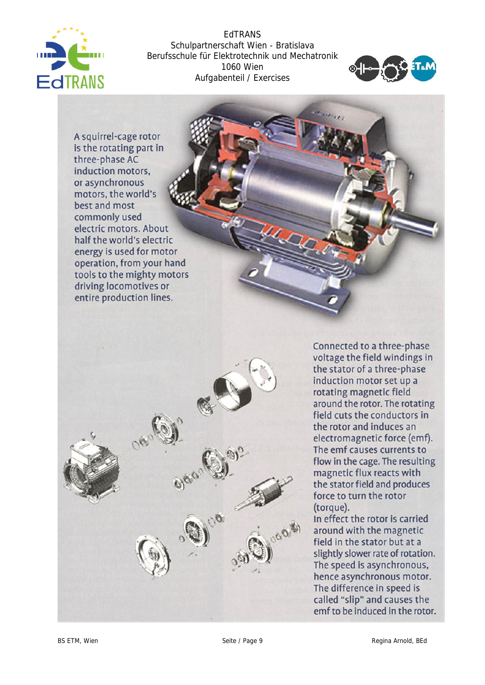



A squirrel-cage rotor is the rotating part in three-phase AC induction motors, or asynchronous motors, the world's best and most commonly used electric motors. About half the world's electric energy is used for motor operation, from your hand tools to the mighty motors driving locomotives or entire production lines.



Connected to a three-phase voltage the field windings in the stator of a three-phase induction motor set up a rotating magnetic field around the rotor. The rotating field cuts the conductors in the rotor and induces an electromagnetic force (emf). The emf causes currents to flow in the cage. The resulting magnetic flux reacts with the stator field and produces force to turn the rotor (torque).

In effect the rotor is carried around with the magnetic field in the stator but at a slightly slower rate of rotation. The speed is asynchronous, hence asynchronous motor. The difference in speed is called "slip" and causes the emf to be induced in the rotor.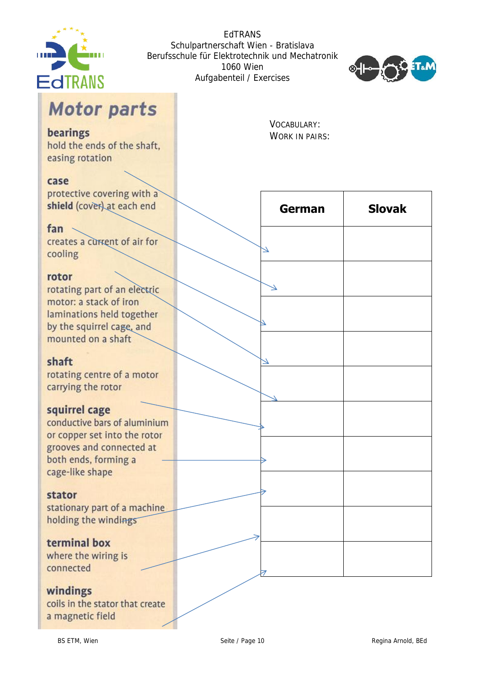



# **Motor parts**

#### bearings

hold the ends of the shaft. easing rotation

#### case

protective covering with a shield (cover) at each end

#### fan

creates a current of air for cooling

#### rotor

rotating part of an electric motor: a stack of iron laminations held together by the squirrel cage, and mounted on a shaft

#### shaft

rotating centre of a motor carrying the rotor

#### squirrel cage

conductive bars of aluminium or copper set into the rotor grooves and connected at both ends, forming a cage-like shape

#### stator

stationary part of a machine holding the windings

#### terminal box

where the wiring is connected

#### windings

coils in the stator that create a magnetic field

VOCABULARY: **WORK IN PAIRS:** 

| German                      | <b>Slovak</b> |
|-----------------------------|---------------|
| ۷                           |               |
| $\overline{\blacktriangle}$ |               |
|                             |               |
|                             |               |
|                             |               |
|                             |               |
|                             |               |
|                             |               |
|                             |               |
|                             |               |
|                             |               |